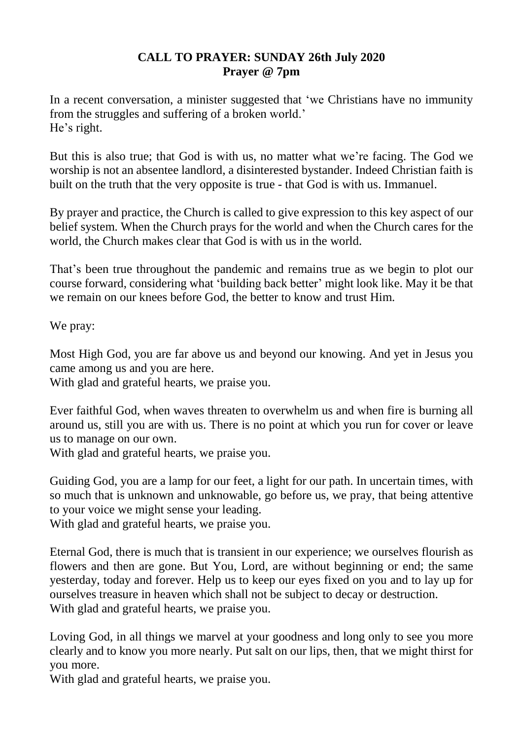## **CALL TO PRAYER: SUNDAY 26th July 2020 Prayer @ 7pm**

In a recent conversation, a minister suggested that 'we Christians have no immunity from the struggles and suffering of a broken world.' He's right.

But this is also true; that God is with us, no matter what we're facing. The God we worship is not an absentee landlord, a disinterested bystander. Indeed Christian faith is built on the truth that the very opposite is true - that God is with us. Immanuel.

By prayer and practice, the Church is called to give expression to this key aspect of our belief system. When the Church prays for the world and when the Church cares for the world, the Church makes clear that God is with us in the world.

That's been true throughout the pandemic and remains true as we begin to plot our course forward, considering what 'building back better' might look like. May it be that we remain on our knees before God, the better to know and trust Him.

We pray:

Most High God, you are far above us and beyond our knowing. And yet in Jesus you came among us and you are here.

With glad and grateful hearts, we praise you.

Ever faithful God, when waves threaten to overwhelm us and when fire is burning all around us, still you are with us. There is no point at which you run for cover or leave us to manage on our own.

With glad and grateful hearts, we praise you.

Guiding God, you are a lamp for our feet, a light for our path. In uncertain times, with so much that is unknown and unknowable, go before us, we pray, that being attentive to your voice we might sense your leading.

With glad and grateful hearts, we praise you.

Eternal God, there is much that is transient in our experience; we ourselves flourish as flowers and then are gone. But You, Lord, are without beginning or end; the same yesterday, today and forever. Help us to keep our eyes fixed on you and to lay up for ourselves treasure in heaven which shall not be subject to decay or destruction. With glad and grateful hearts, we praise you.

Loving God, in all things we marvel at your goodness and long only to see you more clearly and to know you more nearly. Put salt on our lips, then, that we might thirst for you more.

With glad and grateful hearts, we praise you.